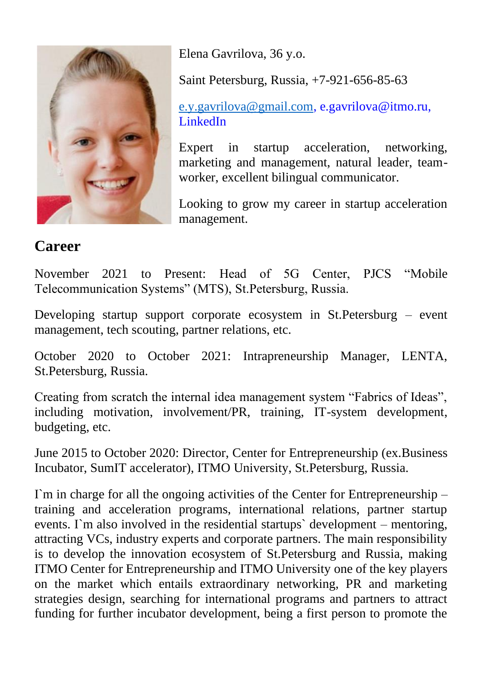

Elena Gavrilova, 36 y.o.

Saint Petersburg, Russia, +7-921-656-85-63

[e.y.gavrilova@gmail.com,](mailto:e.y.gavrilova@gmail.com) e.gavrilova@itmo.ru, LinkedIn

Expert in startup acceleration, networking, marketing and management, natural leader, teamworker, excellent bilingual communicator.

Looking to grow my career in startup acceleration management.

## **Career**

November 2021 to Present: Head of 5G Center, PJCS "Mobile Telecommunication Systems" (MTS), St.Petersburg, Russia.

Developing startup support corporate ecosystem in St.Petersburg – event management, tech scouting, partner relations, etc.

October 2020 to October 2021: Intrapreneurship Manager, LENTA, St.Petersburg, Russia.

Creating from scratch the internal idea management system "Fabrics of Ideas", including motivation, involvement/PR, training, IT-system development, budgeting, etc.

June 2015 to October 2020: Director, Center for Entrepreneurship (ex. Business Incubator, SumIT accelerator), ITMO University, St.Petersburg, Russia.

 $\Gamma$ m in charge for all the ongoing activities of the Center for Entrepreneurship – training and acceleration programs, international relations, partner startup events. I`m also involved in the residential startups` development – mentoring, attracting VCs, industry experts and corporate partners. The main responsibility is to develop the innovation ecosystem of St.Petersburg and Russia, making ITMO Center for Entrepreneurship and ITMO University one of the key players on the market which entails extraordinary networking, PR and marketing strategies design, searching for international programs and partners to attract funding for further incubator development, being a first person to promote the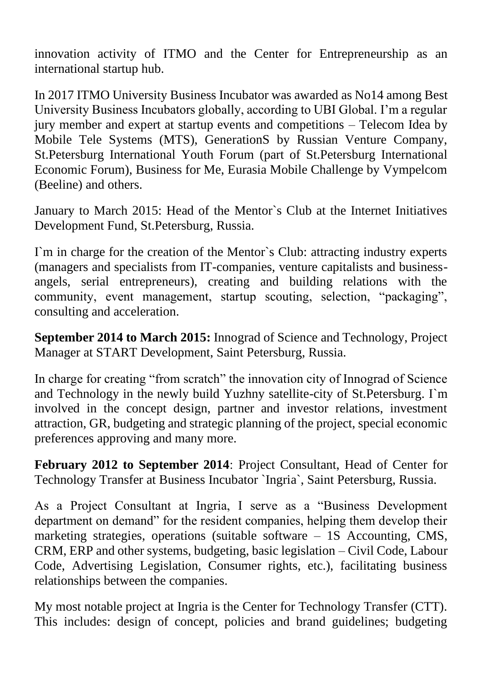innovation activity of ITMO and the Center for Entrepreneurship as an international startup hub.

In 2017 ITMO University Business Incubator was awarded as No14 among Best University Business Incubators globally, according to UBI Global. I'm a regular jury member and expert at startup events and competitions – Telecom Idea by Mobile Tele Systems (MTS), GenerationS by Russian Venture Company, St.Petersburg International Youth Forum (part of St.Petersburg International Economic Forum), Business for Me, Eurasia Mobile Challenge by Vympelcom (Beeline) and others.

January to March 2015: Head of the Mentor`s Club at the Internet Initiatives Development Fund, St.Petersburg, Russia.

I`m in charge for the creation of the Mentor`s Club: attracting industry experts (managers and specialists from IT-companies, venture capitalists and businessangels, serial entrepreneurs), creating and building relations with the community, event management, startup scouting, selection, "packaging", consulting and acceleration.

**September 2014 to March 2015:** Innograd of Science and Technology, Project Manager at START Development, Saint Petersburg, Russia.

In charge for creating "from scratch" the innovation city of Innograd of Science and Technology in the newly build Yuzhny satellite-city of St.Petersburg. I`m involved in the concept design, partner and investor relations, investment attraction, GR, budgeting and strategic planning of the project, special economic preferences approving and many more.

**February 2012 to September 2014**: Project Consultant, Head of Center for Technology Transfer at Business Incubator `Ingria`, Saint Petersburg, Russia.

As a Project Consultant at Ingria, I serve as a "Business Development department on demand" for the resident companies, helping them develop their marketing strategies, operations (suitable software – 1S Accounting, CMS, CRM, ERP and other systems, budgeting, basic legislation – Civil Code, Labour Code, Advertising Legislation, Consumer rights, etc.), facilitating business relationships between the companies.

My most notable project at Ingria is the Center for Technology Transfer (CTT). This includes: design of concept, policies and brand guidelines; budgeting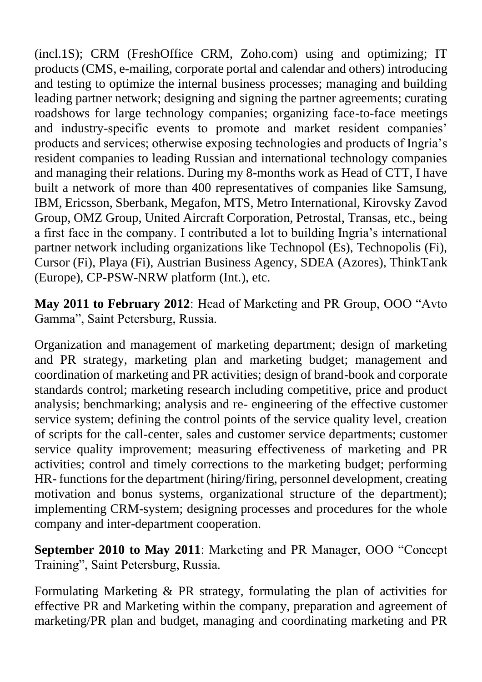(incl.1S); CRM (FreshOffice CRM, Zoho.com) using and optimizing; IT products (CMS, e-mailing, corporate portal and calendar and others) introducing and testing to optimize the internal business processes; managing and building leading partner network; designing and signing the partner agreements; curating roadshows for large technology companies; organizing face-to-face meetings and industry-specific events to promote and market resident companies' products and services; otherwise exposing technologies and products of Ingria's resident companies to leading Russian and international technology companies and managing their relations. During my 8-months work as Head of CTT, I have built a network of more than 400 representatives of companies like Samsung, IBM, Ericsson, Sberbank, Megafon, MTS, Metro International, Kirovsky Zavod Group, OMZ Group, United Aircraft Corporation, Petrostal, Transas, etc., being a first face in the company. I contributed a lot to building Ingria's international partner network including organizations like Technopol (Es), Technopolis (Fi), Cursor (Fi), Playa (Fi), Austrian Business Agency, SDEA (Azores), ThinkTank (Europe), CP-PSW-NRW platform (Int.), etc.

**May 2011 to February 2012**: Head of Marketing and PR Group, OOO "Avto Gamma", Saint Petersburg, Russia.

Organization and management of marketing department; design of marketing and PR strategy, marketing plan and marketing budget; management and coordination of marketing and PR activities; design of brand-book and corporate standards control; marketing research including competitive, price and product analysis; benchmarking; analysis and re- engineering of the effective customer service system; defining the control points of the service quality level, creation of scripts for the call-center, sales and customer service departments; customer service quality improvement; measuring effectiveness of marketing and PR activities; control and timely corrections to the marketing budget; performing HR- functions for the department (hiring/firing, personnel development, creating motivation and bonus systems, organizational structure of the department); implementing CRM-system; designing processes and procedures for the whole company and inter-department cooperation.

**September 2010 to May 2011**: Marketing and PR Manager, OOO "Concept Training", Saint Petersburg, Russia.

Formulating Marketing & PR strategy, formulating the plan of activities for effective PR and Marketing within the company, preparation and agreement of marketing/PR plan and budget, managing and coordinating marketing and PR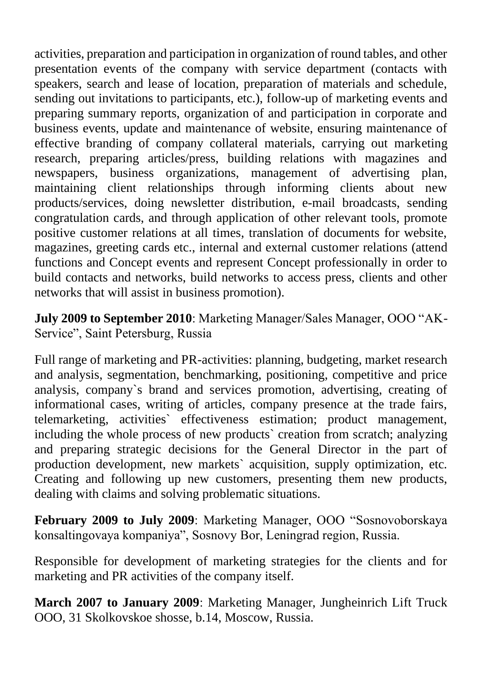activities, preparation and participation in organization of round tables, and other presentation events of the company with service department (contacts with speakers, search and lease of location, preparation of materials and schedule, sending out invitations to participants, etc.), follow-up of marketing events and preparing summary reports, organization of and participation in corporate and business events, update and maintenance of website, ensuring maintenance of effective branding of company collateral materials, carrying out marketing research, preparing articles/press, building relations with magazines and newspapers, business organizations, management of advertising plan, maintaining client relationships through informing clients about new products/services, doing newsletter distribution, e-mail broadcasts, sending congratulation cards, and through application of other relevant tools, promote positive customer relations at all times, translation of documents for website, magazines, greeting cards etc., internal and external customer relations (attend functions and Concept events and represent Concept professionally in order to build contacts and networks, build networks to access press, clients and other networks that will assist in business promotion).

**July 2009 to September 2010**: Marketing Manager/Sales Manager, OOO "AK-Service", Saint Petersburg, Russia

Full range of marketing and PR-activities: planning, budgeting, market research and analysis, segmentation, benchmarking, positioning, competitive and price analysis, company`s brand and services promotion, advertising, creating of informational cases, writing of articles, company presence at the trade fairs, telemarketing, activities` effectiveness estimation; product management, including the whole process of new products` creation from scratch; analyzing and preparing strategic decisions for the General Director in the part of production development, new markets` acquisition, supply optimization, etc. Creating and following up new customers, presenting them new products, dealing with claims and solving problematic situations.

**February 2009 to July 2009**: Marketing Manager, OOO "Sosnovoborskaya konsaltingovaya kompaniya", Sosnovy Bor, Leningrad region, Russia.

Responsible for development of marketing strategies for the clients and for marketing and PR activities of the company itself.

**March 2007 to January 2009**: Marketing Manager, Jungheinrich Lift Truck OOO, 31 Skolkovskoe shosse, b.14, Moscow, Russia.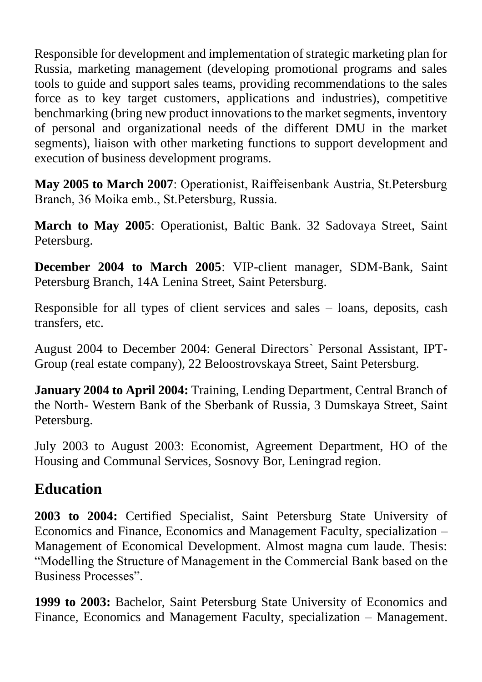Responsible for development and implementation of strategic marketing plan for Russia, marketing management (developing promotional programs and sales tools to guide and support sales teams, providing recommendations to the sales force as to key target customers, applications and industries), competitive benchmarking (bring new product innovations to the market segments, inventory of personal and organizational needs of the different DMU in the market segments), liaison with other marketing functions to support development and execution of business development programs.

**May 2005 to March 2007**: Operationist, Raiffeisenbank Austria, St.Petersburg Branch, 36 Moika emb., St.Petersburg, Russia.

**March to May 2005**: Operationist, Baltic Bank. 32 Sadovaya Street, Saint Petersburg.

**December 2004 to March 2005**: VIP-client manager, SDM-Bank, Saint Petersburg Branch, 14A Lenina Street, Saint Petersburg.

Responsible for all types of client services and sales – loans, deposits, cash transfers, etc.

August 2004 to December 2004: General Directors` Personal Assistant, IPT-Group (real estate company), 22 Beloostrovskaya Street, Saint Petersburg.

**January 2004 to April 2004:** Training, Lending Department, Central Branch of the North- Western Bank of the Sberbank of Russia, 3 Dumskaya Street, Saint Petersburg.

July 2003 to August 2003: Economist, Agreement Department, HO of the Housing and Communal Services, Sosnovy Bor, Leningrad region.

## **Education**

**2003 to 2004:** Certified Specialist, Saint Petersburg State University of Economics and Finance, Economics and Management Faculty, specialization – Management of Economical Development. Almost magna cum laude. Thesis: "Modelling the Structure of Management in the Commercial Bank based on the Business Processes".

**1999 to 2003:** Bachelor, Saint Petersburg State University of Economics and Finance, Economics and Management Faculty, specialization – Management.